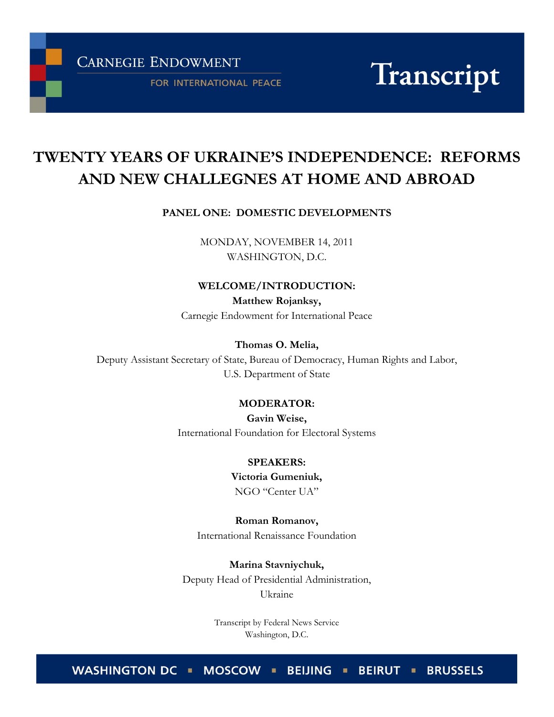**CARNEGIE ENDOWMENT** 

FOR INTERNATIONAL PEACE

Transcript

# **TWENTY YEARS OF UKRAINE'S INDEPENDENCE: REFORMS AND NEW CHALLEGNES AT HOME AND ABROAD**

#### **PANEL ONE: DOMESTIC DEVELOPMENTS**

MONDAY, NOVEMBER 14, 2011 WASHINGTON, D.C.

#### **WELCOME/INTRODUCTION:**

**Matthew Rojanksy,** Carnegie Endowment for International Peace

#### **Thomas O. Melia,**

Deputy Assistant Secretary of State, Bureau of Democracy, Human Rights and Labor, U.S. Department of State

#### **MODERATOR:**

**Gavin Weise,** International Foundation for Electoral Systems

#### **SPEAKERS:**

#### **Victoria Gumeniuk,**

NGO "Center UA"

**Roman Romanov,** International Renaissance Foundation

**Marina Stavniychuk,**

Deputy Head of Presidential Administration, Ukraine

> Transcript by Federal News Service Washington, D.C.

WASHINGTON DC . MOSCOW . BEIJING . BEIRUT . BRUSSELS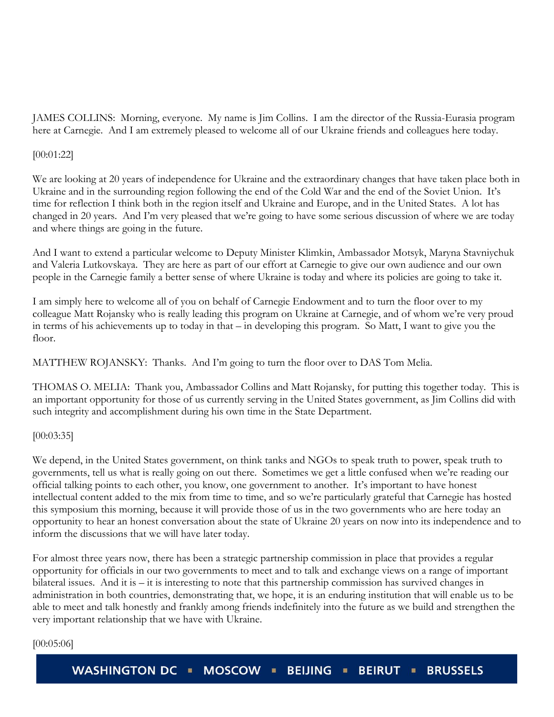JAMES COLLINS: Morning, everyone. My name is Jim Collins. I am the director of the Russia-Eurasia program here at Carnegie. And I am extremely pleased to welcome all of our Ukraine friends and colleagues here today.

## [00:01:22]

We are looking at 20 years of independence for Ukraine and the extraordinary changes that have taken place both in Ukraine and in the surrounding region following the end of the Cold War and the end of the Soviet Union. It's time for reflection I think both in the region itself and Ukraine and Europe, and in the United States. A lot has changed in 20 years. And I'm very pleased that we're going to have some serious discussion of where we are today and where things are going in the future.

And I want to extend a particular welcome to Deputy Minister Klimkin, Ambassador Motsyk, Maryna Stavniychuk and Valeria Lutkovskaya. They are here as part of our effort at Carnegie to give our own audience and our own people in the Carnegie family a better sense of where Ukraine is today and where its policies are going to take it.

I am simply here to welcome all of you on behalf of Carnegie Endowment and to turn the floor over to my colleague Matt Rojansky who is really leading this program on Ukraine at Carnegie, and of whom we're very proud in terms of his achievements up to today in that – in developing this program. So Matt, I want to give you the floor.

MATTHEW ROJANSKY: Thanks. And I'm going to turn the floor over to DAS Tom Melia.

THOMAS O. MELIA: Thank you, Ambassador Collins and Matt Rojansky, for putting this together today. This is an important opportunity for those of us currently serving in the United States government, as Jim Collins did with such integrity and accomplishment during his own time in the State Department.

## [00:03:35]

We depend, in the United States government, on think tanks and NGOs to speak truth to power, speak truth to governments, tell us what is really going on out there. Sometimes we get a little confused when we're reading our official talking points to each other, you know, one government to another. It's important to have honest intellectual content added to the mix from time to time, and so we're particularly grateful that Carnegie has hosted this symposium this morning, because it will provide those of us in the two governments who are here today an opportunity to hear an honest conversation about the state of Ukraine 20 years on now into its independence and to inform the discussions that we will have later today.

For almost three years now, there has been a strategic partnership commission in place that provides a regular opportunity for officials in our two governments to meet and to talk and exchange views on a range of important bilateral issues. And it is – it is interesting to note that this partnership commission has survived changes in administration in both countries, demonstrating that, we hope, it is an enduring institution that will enable us to be able to meet and talk honestly and frankly among friends indefinitely into the future as we build and strengthen the very important relationship that we have with Ukraine.

#### [00:05:06]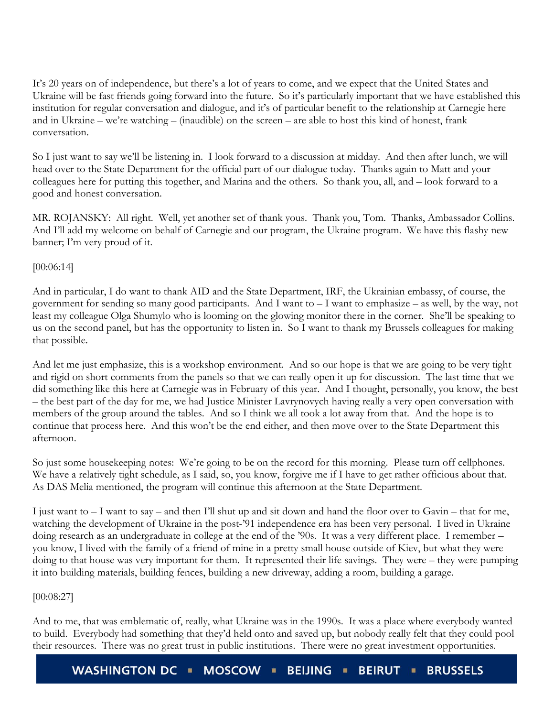It's 20 years on of independence, but there's a lot of years to come, and we expect that the United States and Ukraine will be fast friends going forward into the future. So it's particularly important that we have established this institution for regular conversation and dialogue, and it's of particular benefit to the relationship at Carnegie here and in Ukraine – we're watching – (inaudible) on the screen – are able to host this kind of honest, frank conversation.

So I just want to say we'll be listening in. I look forward to a discussion at midday. And then after lunch, we will head over to the State Department for the official part of our dialogue today. Thanks again to Matt and your colleagues here for putting this together, and Marina and the others. So thank you, all, and – look forward to a good and honest conversation.

MR. ROJANSKY: All right. Well, yet another set of thank yous. Thank you, Tom. Thanks, Ambassador Collins. And I'll add my welcome on behalf of Carnegie and our program, the Ukraine program. We have this flashy new banner; I'm very proud of it.

# [00:06:14]

And in particular, I do want to thank AID and the State Department, IRF, the Ukrainian embassy, of course, the government for sending so many good participants. And I want to – I want to emphasize – as well, by the way, not least my colleague Olga Shumylo who is looming on the glowing monitor there in the corner. She'll be speaking to us on the second panel, but has the opportunity to listen in. So I want to thank my Brussels colleagues for making that possible.

And let me just emphasize, this is a workshop environment. And so our hope is that we are going to be very tight and rigid on short comments from the panels so that we can really open it up for discussion. The last time that we did something like this here at Carnegie was in February of this year. And I thought, personally, you know, the best – the best part of the day for me, we had Justice Minister Lavrynovych having really a very open conversation with members of the group around the tables. And so I think we all took a lot away from that. And the hope is to continue that process here. And this won't be the end either, and then move over to the State Department this afternoon.

So just some housekeeping notes: We're going to be on the record for this morning. Please turn off cellphones. We have a relatively tight schedule, as I said, so, you know, forgive me if I have to get rather officious about that. As DAS Melia mentioned, the program will continue this afternoon at the State Department.

I just want to – I want to say – and then I'll shut up and sit down and hand the floor over to Gavin – that for me, watching the development of Ukraine in the post-'91 independence era has been very personal. I lived in Ukraine doing research as an undergraduate in college at the end of the '90s. It was a very different place. I remember – you know, I lived with the family of a friend of mine in a pretty small house outside of Kiev, but what they were doing to that house was very important for them. It represented their life savings. They were – they were pumping it into building materials, building fences, building a new driveway, adding a room, building a garage.

## [00:08:27]

And to me, that was emblematic of, really, what Ukraine was in the 1990s. It was a place where everybody wanted to build. Everybody had something that they'd held onto and saved up, but nobody really felt that they could pool their resources. There was no great trust in public institutions. There were no great investment opportunities.

WASHINGTON DC · MOSCOW · **BEIJING BEIRUT BRUSSELS**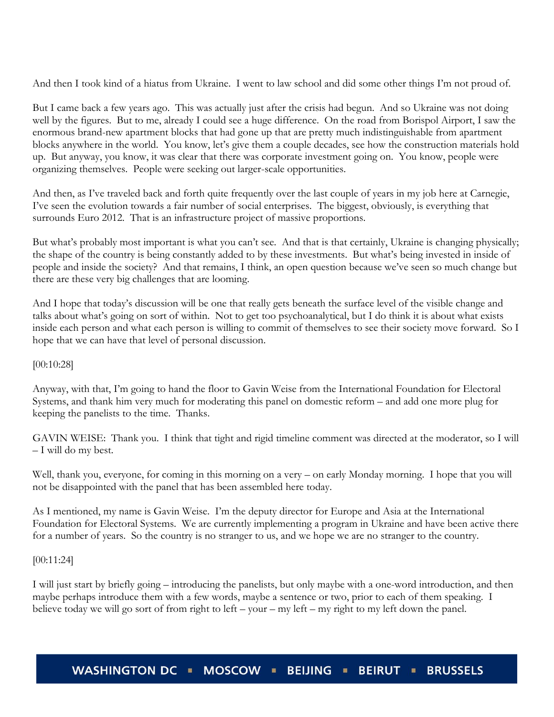And then I took kind of a hiatus from Ukraine. I went to law school and did some other things I'm not proud of.

But I came back a few years ago. This was actually just after the crisis had begun. And so Ukraine was not doing well by the figures. But to me, already I could see a huge difference. On the road from Borispol Airport, I saw the enormous brand-new apartment blocks that had gone up that are pretty much indistinguishable from apartment blocks anywhere in the world. You know, let's give them a couple decades, see how the construction materials hold up. But anyway, you know, it was clear that there was corporate investment going on. You know, people were organizing themselves. People were seeking out larger-scale opportunities.

And then, as I've traveled back and forth quite frequently over the last couple of years in my job here at Carnegie, I've seen the evolution towards a fair number of social enterprises. The biggest, obviously, is everything that surrounds Euro 2012. That is an infrastructure project of massive proportions.

But what's probably most important is what you can't see. And that is that certainly, Ukraine is changing physically; the shape of the country is being constantly added to by these investments. But what's being invested in inside of people and inside the society? And that remains, I think, an open question because we've seen so much change but there are these very big challenges that are looming.

And I hope that today's discussion will be one that really gets beneath the surface level of the visible change and talks about what's going on sort of within. Not to get too psychoanalytical, but I do think it is about what exists inside each person and what each person is willing to commit of themselves to see their society move forward. So I hope that we can have that level of personal discussion.

## [00:10:28]

Anyway, with that, I'm going to hand the floor to Gavin Weise from the International Foundation for Electoral Systems, and thank him very much for moderating this panel on domestic reform – and add one more plug for keeping the panelists to the time. Thanks.

GAVIN WEISE: Thank you. I think that tight and rigid timeline comment was directed at the moderator, so I will – I will do my best.

Well, thank you, everyone, for coming in this morning on a very – on early Monday morning. I hope that you will not be disappointed with the panel that has been assembled here today.

As I mentioned, my name is Gavin Weise. I'm the deputy director for Europe and Asia at the International Foundation for Electoral Systems. We are currently implementing a program in Ukraine and have been active there for a number of years. So the country is no stranger to us, and we hope we are no stranger to the country.

## [00:11:24]

I will just start by briefly going – introducing the panelists, but only maybe with a one-word introduction, and then maybe perhaps introduce them with a few words, maybe a sentence or two, prior to each of them speaking. I believe today we will go sort of from right to left – your – my left – my right to my left down the panel.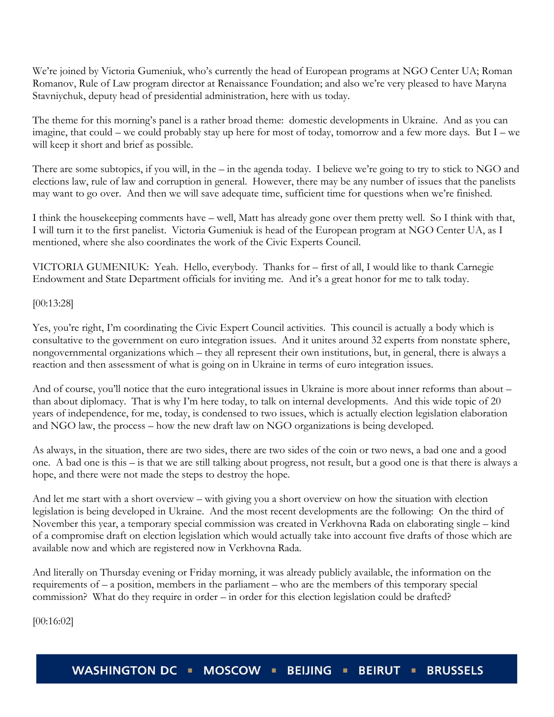We're joined by Victoria Gumeniuk, who's currently the head of European programs at NGO Center UA; Roman Romanov, Rule of Law program director at Renaissance Foundation; and also we're very pleased to have Maryna Stavniychuk, deputy head of presidential administration, here with us today.

The theme for this morning's panel is a rather broad theme: domestic developments in Ukraine. And as you can imagine, that could – we could probably stay up here for most of today, tomorrow and a few more days. But I – we will keep it short and brief as possible.

There are some subtopics, if you will, in the – in the agenda today. I believe we're going to try to stick to NGO and elections law, rule of law and corruption in general. However, there may be any number of issues that the panelists may want to go over. And then we will save adequate time, sufficient time for questions when we're finished.

I think the housekeeping comments have – well, Matt has already gone over them pretty well. So I think with that, I will turn it to the first panelist. Victoria Gumeniuk is head of the European program at NGO Center UA, as I mentioned, where she also coordinates the work of the Civic Experts Council.

VICTORIA GUMENIUK: Yeah. Hello, everybody. Thanks for – first of all, I would like to thank Carnegie Endowment and State Department officials for inviting me. And it's a great honor for me to talk today.

[00:13:28]

Yes, you're right, I'm coordinating the Civic Expert Council activities. This council is actually a body which is consultative to the government on euro integration issues. And it unites around 32 experts from nonstate sphere, nongovernmental organizations which – they all represent their own institutions, but, in general, there is always a reaction and then assessment of what is going on in Ukraine in terms of euro integration issues.

And of course, you'll notice that the euro integrational issues in Ukraine is more about inner reforms than about – than about diplomacy. That is why I'm here today, to talk on internal developments. And this wide topic of 20 years of independence, for me, today, is condensed to two issues, which is actually election legislation elaboration and NGO law, the process – how the new draft law on NGO organizations is being developed.

As always, in the situation, there are two sides, there are two sides of the coin or two news, a bad one and a good one. A bad one is this – is that we are still talking about progress, not result, but a good one is that there is always a hope, and there were not made the steps to destroy the hope.

And let me start with a short overview – with giving you a short overview on how the situation with election legislation is being developed in Ukraine. And the most recent developments are the following: On the third of November this year, a temporary special commission was created in Verkhovna Rada on elaborating single – kind of a compromise draft on election legislation which would actually take into account five drafts of those which are available now and which are registered now in Verkhovna Rada.

And literally on Thursday evening or Friday morning, it was already publicly available, the information on the requirements of – a position, members in the parliament – who are the members of this temporary special commission? What do they require in order – in order for this election legislation could be drafted?

[00:16:02]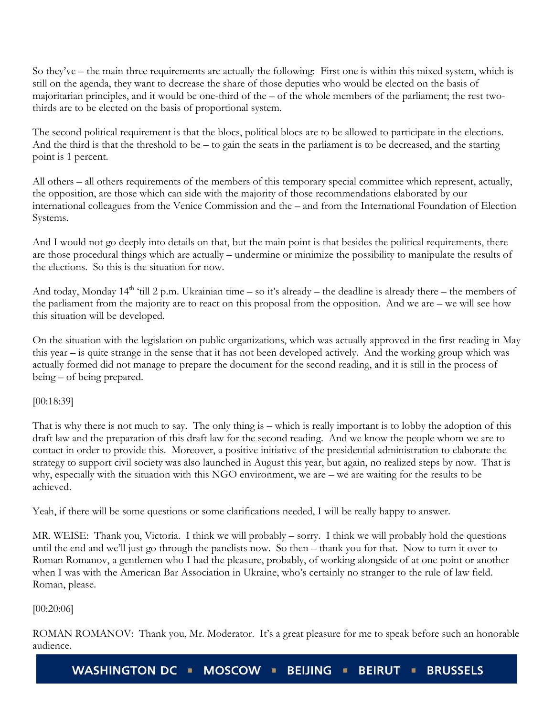So they've – the main three requirements are actually the following: First one is within this mixed system, which is still on the agenda, they want to decrease the share of those deputies who would be elected on the basis of majoritarian principles, and it would be one-third of the – of the whole members of the parliament; the rest twothirds are to be elected on the basis of proportional system.

The second political requirement is that the blocs, political blocs are to be allowed to participate in the elections. And the third is that the threshold to be – to gain the seats in the parliament is to be decreased, and the starting point is 1 percent.

All others – all others requirements of the members of this temporary special committee which represent, actually, the opposition, are those which can side with the majority of those recommendations elaborated by our international colleagues from the Venice Commission and the – and from the International Foundation of Election Systems.

And I would not go deeply into details on that, but the main point is that besides the political requirements, there are those procedural things which are actually – undermine or minimize the possibility to manipulate the results of the elections. So this is the situation for now.

And today, Monday  $14<sup>th</sup>$  'till 2 p.m. Ukrainian time – so it's already – the deadline is already there – the members of the parliament from the majority are to react on this proposal from the opposition. And we are – we will see how this situation will be developed.

On the situation with the legislation on public organizations, which was actually approved in the first reading in May this year – is quite strange in the sense that it has not been developed actively. And the working group which was actually formed did not manage to prepare the document for the second reading, and it is still in the process of being – of being prepared.

[00:18:39]

That is why there is not much to say. The only thing is – which is really important is to lobby the adoption of this draft law and the preparation of this draft law for the second reading. And we know the people whom we are to contact in order to provide this. Moreover, a positive initiative of the presidential administration to elaborate the strategy to support civil society was also launched in August this year, but again, no realized steps by now. That is why, especially with the situation with this NGO environment, we are – we are waiting for the results to be achieved.

Yeah, if there will be some questions or some clarifications needed, I will be really happy to answer.

MR. WEISE: Thank you, Victoria. I think we will probably – sorry. I think we will probably hold the questions until the end and we'll just go through the panelists now. So then – thank you for that. Now to turn it over to Roman Romanov, a gentlemen who I had the pleasure, probably, of working alongside of at one point or another when I was with the American Bar Association in Ukraine, who's certainly no stranger to the rule of law field. Roman, please.

[00:20:06]

ROMAN ROMANOV: Thank you, Mr. Moderator. It's a great pleasure for me to speak before such an honorable audience.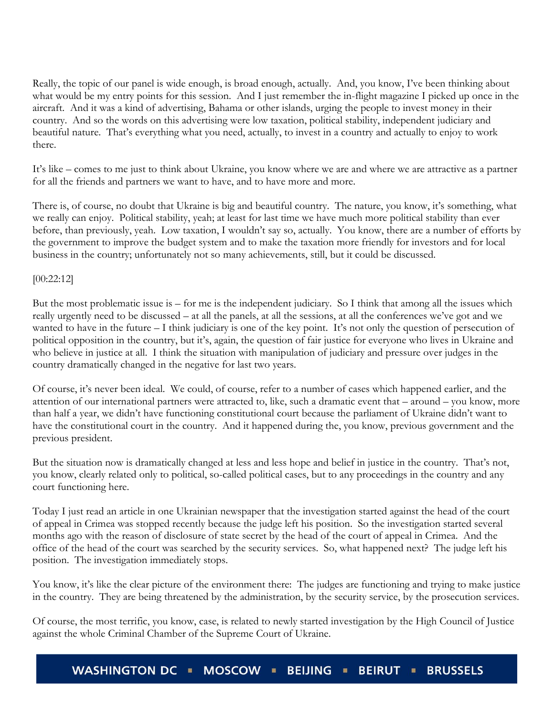Really, the topic of our panel is wide enough, is broad enough, actually. And, you know, I've been thinking about what would be my entry points for this session. And I just remember the in-flight magazine I picked up once in the aircraft. And it was a kind of advertising, Bahama or other islands, urging the people to invest money in their country. And so the words on this advertising were low taxation, political stability, independent judiciary and beautiful nature. That's everything what you need, actually, to invest in a country and actually to enjoy to work there.

It's like – comes to me just to think about Ukraine, you know where we are and where we are attractive as a partner for all the friends and partners we want to have, and to have more and more.

There is, of course, no doubt that Ukraine is big and beautiful country. The nature, you know, it's something, what we really can enjoy. Political stability, yeah; at least for last time we have much more political stability than ever before, than previously, yeah. Low taxation, I wouldn't say so, actually. You know, there are a number of efforts by the government to improve the budget system and to make the taxation more friendly for investors and for local business in the country; unfortunately not so many achievements, still, but it could be discussed.

## [00:22:12]

But the most problematic issue is – for me is the independent judiciary. So I think that among all the issues which really urgently need to be discussed – at all the panels, at all the sessions, at all the conferences we've got and we wanted to have in the future – I think judiciary is one of the key point. It's not only the question of persecution of political opposition in the country, but it's, again, the question of fair justice for everyone who lives in Ukraine and who believe in justice at all. I think the situation with manipulation of judiciary and pressure over judges in the country dramatically changed in the negative for last two years.

Of course, it's never been ideal. We could, of course, refer to a number of cases which happened earlier, and the attention of our international partners were attracted to, like, such a dramatic event that – around – you know, more than half a year, we didn't have functioning constitutional court because the parliament of Ukraine didn't want to have the constitutional court in the country. And it happened during the, you know, previous government and the previous president.

But the situation now is dramatically changed at less and less hope and belief in justice in the country. That's not, you know, clearly related only to political, so-called political cases, but to any proceedings in the country and any court functioning here.

Today I just read an article in one Ukrainian newspaper that the investigation started against the head of the court of appeal in Crimea was stopped recently because the judge left his position. So the investigation started several months ago with the reason of disclosure of state secret by the head of the court of appeal in Crimea. And the office of the head of the court was searched by the security services. So, what happened next? The judge left his position. The investigation immediately stops.

You know, it's like the clear picture of the environment there: The judges are functioning and trying to make justice in the country. They are being threatened by the administration, by the security service, by the prosecution services.

Of course, the most terrific, you know, case, is related to newly started investigation by the High Council of Justice against the whole Criminal Chamber of the Supreme Court of Ukraine.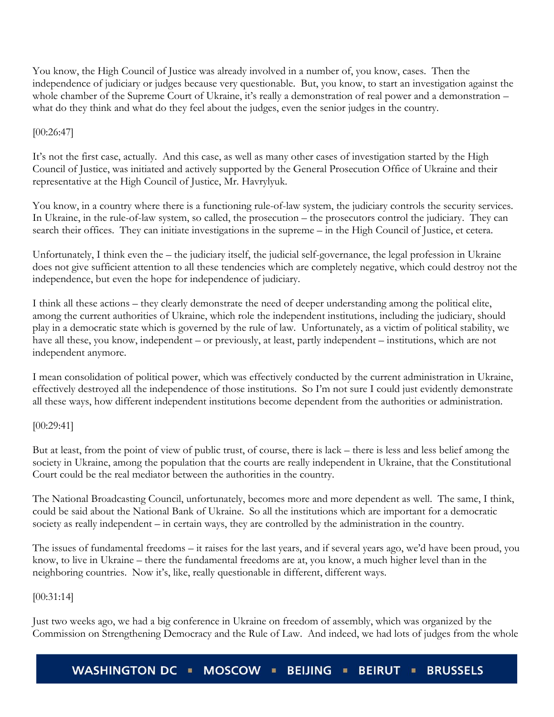You know, the High Council of Justice was already involved in a number of, you know, cases. Then the independence of judiciary or judges because very questionable. But, you know, to start an investigation against the whole chamber of the Supreme Court of Ukraine, it's really a demonstration of real power and a demonstration – what do they think and what do they feel about the judges, even the senior judges in the country.

# [00:26:47]

It's not the first case, actually. And this case, as well as many other cases of investigation started by the High Council of Justice, was initiated and actively supported by the General Prosecution Office of Ukraine and their representative at the High Council of Justice, Mr. Havrylyuk.

You know, in a country where there is a functioning rule-of-law system, the judiciary controls the security services. In Ukraine, in the rule-of-law system, so called, the prosecution – the prosecutors control the judiciary. They can search their offices. They can initiate investigations in the supreme – in the High Council of Justice, et cetera.

Unfortunately, I think even the – the judiciary itself, the judicial self-governance, the legal profession in Ukraine does not give sufficient attention to all these tendencies which are completely negative, which could destroy not the independence, but even the hope for independence of judiciary.

I think all these actions – they clearly demonstrate the need of deeper understanding among the political elite, among the current authorities of Ukraine, which role the independent institutions, including the judiciary, should play in a democratic state which is governed by the rule of law. Unfortunately, as a victim of political stability, we have all these, you know, independent – or previously, at least, partly independent – institutions, which are not independent anymore.

I mean consolidation of political power, which was effectively conducted by the current administration in Ukraine, effectively destroyed all the independence of those institutions. So I'm not sure I could just evidently demonstrate all these ways, how different independent institutions become dependent from the authorities or administration.

[00:29:41]

But at least, from the point of view of public trust, of course, there is lack – there is less and less belief among the society in Ukraine, among the population that the courts are really independent in Ukraine, that the Constitutional Court could be the real mediator between the authorities in the country.

The National Broadcasting Council, unfortunately, becomes more and more dependent as well. The same, I think, could be said about the National Bank of Ukraine. So all the institutions which are important for a democratic society as really independent – in certain ways, they are controlled by the administration in the country.

The issues of fundamental freedoms – it raises for the last years, and if several years ago, we'd have been proud, you know, to live in Ukraine – there the fundamental freedoms are at, you know, a much higher level than in the neighboring countries. Now it's, like, really questionable in different, different ways.

# [00:31:14]

Just two weeks ago, we had a big conference in Ukraine on freedom of assembly, which was organized by the Commission on Strengthening Democracy and the Rule of Law. And indeed, we had lots of judges from the whole

**WASHINGTON DC** MOSCOW **I BEIJING BEIRUT = BRUSSELS**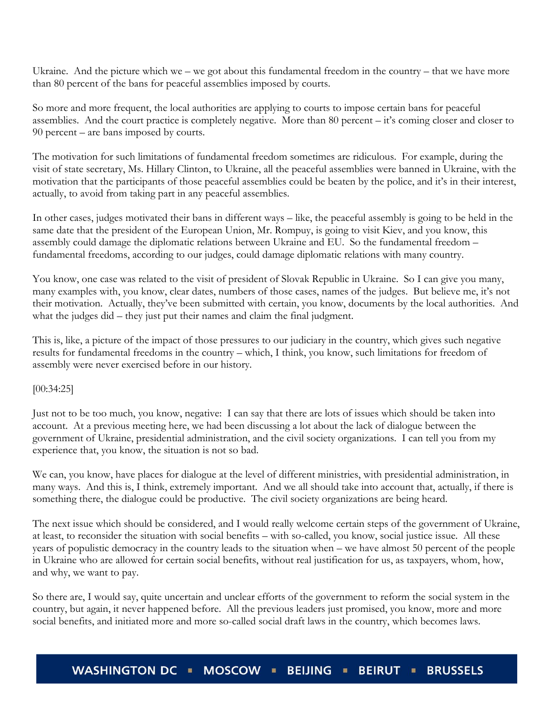Ukraine. And the picture which we – we got about this fundamental freedom in the country – that we have more than 80 percent of the bans for peaceful assemblies imposed by courts.

So more and more frequent, the local authorities are applying to courts to impose certain bans for peaceful assemblies. And the court practice is completely negative. More than 80 percent – it's coming closer and closer to 90 percent – are bans imposed by courts.

The motivation for such limitations of fundamental freedom sometimes are ridiculous. For example, during the visit of state secretary, Ms. Hillary Clinton, to Ukraine, all the peaceful assemblies were banned in Ukraine, with the motivation that the participants of those peaceful assemblies could be beaten by the police, and it's in their interest, actually, to avoid from taking part in any peaceful assemblies.

In other cases, judges motivated their bans in different ways – like, the peaceful assembly is going to be held in the same date that the president of the European Union, Mr. Rompuy, is going to visit Kiev, and you know, this assembly could damage the diplomatic relations between Ukraine and EU. So the fundamental freedom – fundamental freedoms, according to our judges, could damage diplomatic relations with many country.

You know, one case was related to the visit of president of Slovak Republic in Ukraine. So I can give you many, many examples with, you know, clear dates, numbers of those cases, names of the judges. But believe me, it's not their motivation. Actually, they've been submitted with certain, you know, documents by the local authorities. And what the judges did – they just put their names and claim the final judgment.

This is, like, a picture of the impact of those pressures to our judiciary in the country, which gives such negative results for fundamental freedoms in the country – which, I think, you know, such limitations for freedom of assembly were never exercised before in our history.

[00:34:25]

Just not to be too much, you know, negative: I can say that there are lots of issues which should be taken into account. At a previous meeting here, we had been discussing a lot about the lack of dialogue between the government of Ukraine, presidential administration, and the civil society organizations. I can tell you from my experience that, you know, the situation is not so bad.

We can, you know, have places for dialogue at the level of different ministries, with presidential administration, in many ways. And this is, I think, extremely important. And we all should take into account that, actually, if there is something there, the dialogue could be productive. The civil society organizations are being heard.

The next issue which should be considered, and I would really welcome certain steps of the government of Ukraine, at least, to reconsider the situation with social benefits – with so-called, you know, social justice issue. All these years of populistic democracy in the country leads to the situation when – we have almost 50 percent of the people in Ukraine who are allowed for certain social benefits, without real justification for us, as taxpayers, whom, how, and why, we want to pay.

So there are, I would say, quite uncertain and unclear efforts of the government to reform the social system in the country, but again, it never happened before. All the previous leaders just promised, you know, more and more social benefits, and initiated more and more so-called social draft laws in the country, which becomes laws.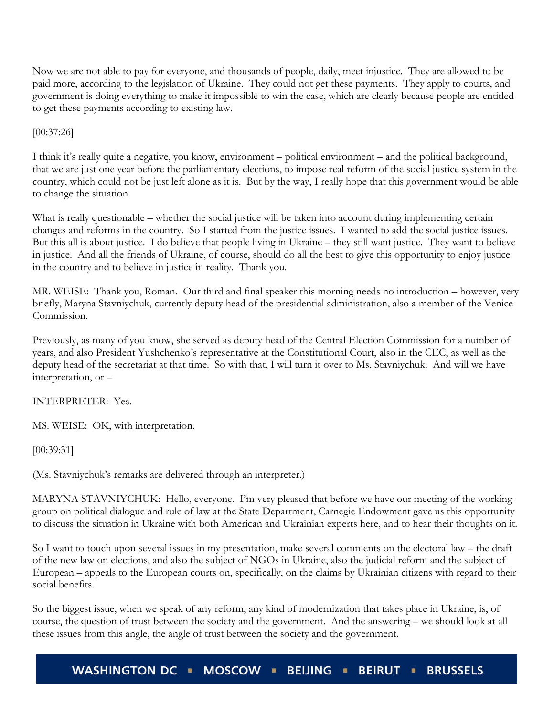Now we are not able to pay for everyone, and thousands of people, daily, meet injustice. They are allowed to be paid more, according to the legislation of Ukraine. They could not get these payments. They apply to courts, and government is doing everything to make it impossible to win the case, which are clearly because people are entitled to get these payments according to existing law.

[00:37:26]

I think it's really quite a negative, you know, environment – political environment – and the political background, that we are just one year before the parliamentary elections, to impose real reform of the social justice system in the country, which could not be just left alone as it is. But by the way, I really hope that this government would be able to change the situation.

What is really questionable – whether the social justice will be taken into account during implementing certain changes and reforms in the country. So I started from the justice issues. I wanted to add the social justice issues. But this all is about justice. I do believe that people living in Ukraine – they still want justice. They want to believe in justice. And all the friends of Ukraine, of course, should do all the best to give this opportunity to enjoy justice in the country and to believe in justice in reality. Thank you.

MR. WEISE: Thank you, Roman. Our third and final speaker this morning needs no introduction – however, very briefly, Maryna Stavniychuk, currently deputy head of the presidential administration, also a member of the Venice Commission.

Previously, as many of you know, she served as deputy head of the Central Election Commission for a number of years, and also President Yushchenko's representative at the Constitutional Court, also in the CEC, as well as the deputy head of the secretariat at that time. So with that, I will turn it over to Ms. Stavniychuk. And will we have interpretation, or –

INTERPRETER: Yes.

MS. WEISE: OK, with interpretation.

[00:39:31]

(Ms. Stavniychuk's remarks are delivered through an interpreter.)

MARYNA STAVNIYCHUK: Hello, everyone. I'm very pleased that before we have our meeting of the working group on political dialogue and rule of law at the State Department, Carnegie Endowment gave us this opportunity to discuss the situation in Ukraine with both American and Ukrainian experts here, and to hear their thoughts on it.

So I want to touch upon several issues in my presentation, make several comments on the electoral law – the draft of the new law on elections, and also the subject of NGOs in Ukraine, also the judicial reform and the subject of European – appeals to the European courts on, specifically, on the claims by Ukrainian citizens with regard to their social benefits.

So the biggest issue, when we speak of any reform, any kind of modernization that takes place in Ukraine, is, of course, the question of trust between the society and the government. And the answering – we should look at all these issues from this angle, the angle of trust between the society and the government.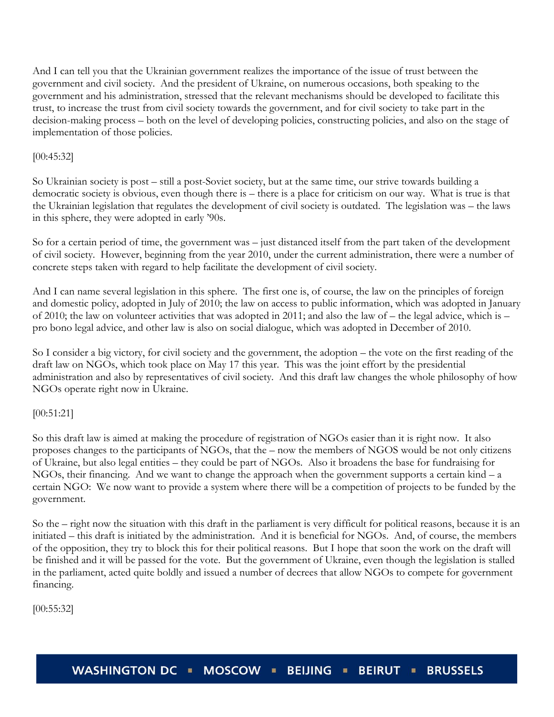And I can tell you that the Ukrainian government realizes the importance of the issue of trust between the government and civil society. And the president of Ukraine, on numerous occasions, both speaking to the government and his administration, stressed that the relevant mechanisms should be developed to facilitate this trust, to increase the trust from civil society towards the government, and for civil society to take part in the decision-making process – both on the level of developing policies, constructing policies, and also on the stage of implementation of those policies.

# [00:45:32]

So Ukrainian society is post – still a post-Soviet society, but at the same time, our strive towards building a democratic society is obvious, even though there is – there is a place for criticism on our way. What is true is that the Ukrainian legislation that regulates the development of civil society is outdated. The legislation was – the laws in this sphere, they were adopted in early '90s.

So for a certain period of time, the government was – just distanced itself from the part taken of the development of civil society. However, beginning from the year 2010, under the current administration, there were a number of concrete steps taken with regard to help facilitate the development of civil society.

And I can name several legislation in this sphere. The first one is, of course, the law on the principles of foreign and domestic policy, adopted in July of 2010; the law on access to public information, which was adopted in January of 2010; the law on volunteer activities that was adopted in 2011; and also the law of – the legal advice, which is – pro bono legal advice, and other law is also on social dialogue, which was adopted in December of 2010.

So I consider a big victory, for civil society and the government, the adoption – the vote on the first reading of the draft law on NGOs, which took place on May 17 this year. This was the joint effort by the presidential administration and also by representatives of civil society. And this draft law changes the whole philosophy of how NGOs operate right now in Ukraine.

# [00:51:21]

So this draft law is aimed at making the procedure of registration of NGOs easier than it is right now. It also proposes changes to the participants of NGOs, that the – now the members of NGOS would be not only citizens of Ukraine, but also legal entities – they could be part of NGOs. Also it broadens the base for fundraising for NGOs, their financing. And we want to change the approach when the government supports a certain kind – a certain NGO: We now want to provide a system where there will be a competition of projects to be funded by the government.

So the – right now the situation with this draft in the parliament is very difficult for political reasons, because it is an initiated – this draft is initiated by the administration. And it is beneficial for NGOs. And, of course, the members of the opposition, they try to block this for their political reasons. But I hope that soon the work on the draft will be finished and it will be passed for the vote. But the government of Ukraine, even though the legislation is stalled in the parliament, acted quite boldly and issued a number of decrees that allow NGOs to compete for government financing.

[00:55:32]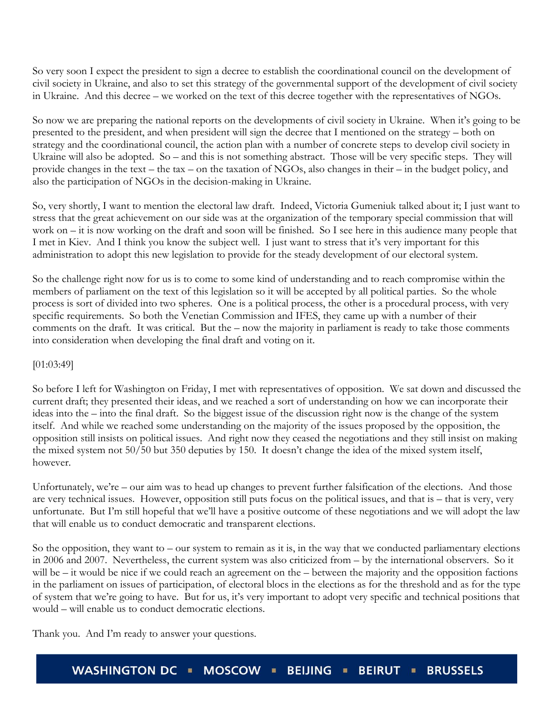So very soon I expect the president to sign a decree to establish the coordinational council on the development of civil society in Ukraine, and also to set this strategy of the governmental support of the development of civil society in Ukraine. And this decree – we worked on the text of this decree together with the representatives of NGOs.

So now we are preparing the national reports on the developments of civil society in Ukraine. When it's going to be presented to the president, and when president will sign the decree that I mentioned on the strategy – both on strategy and the coordinational council, the action plan with a number of concrete steps to develop civil society in Ukraine will also be adopted. So – and this is not something abstract. Those will be very specific steps. They will provide changes in the text – the tax – on the taxation of NGOs, also changes in their – in the budget policy, and also the participation of NGOs in the decision-making in Ukraine.

So, very shortly, I want to mention the electoral law draft. Indeed, Victoria Gumeniuk talked about it; I just want to stress that the great achievement on our side was at the organization of the temporary special commission that will work on – it is now working on the draft and soon will be finished. So I see here in this audience many people that I met in Kiev. And I think you know the subject well. I just want to stress that it's very important for this administration to adopt this new legislation to provide for the steady development of our electoral system.

So the challenge right now for us is to come to some kind of understanding and to reach compromise within the members of parliament on the text of this legislation so it will be accepted by all political parties. So the whole process is sort of divided into two spheres. One is a political process, the other is a procedural process, with very specific requirements. So both the Venetian Commission and IFES, they came up with a number of their comments on the draft. It was critical. But the – now the majority in parliament is ready to take those comments into consideration when developing the final draft and voting on it.

## [01:03:49]

So before I left for Washington on Friday, I met with representatives of opposition. We sat down and discussed the current draft; they presented their ideas, and we reached a sort of understanding on how we can incorporate their ideas into the – into the final draft. So the biggest issue of the discussion right now is the change of the system itself. And while we reached some understanding on the majority of the issues proposed by the opposition, the opposition still insists on political issues. And right now they ceased the negotiations and they still insist on making the mixed system not 50/50 but 350 deputies by 150. It doesn't change the idea of the mixed system itself, however.

Unfortunately, we're – our aim was to head up changes to prevent further falsification of the elections. And those are very technical issues. However, opposition still puts focus on the political issues, and that is – that is very, very unfortunate. But I'm still hopeful that we'll have a positive outcome of these negotiations and we will adopt the law that will enable us to conduct democratic and transparent elections.

So the opposition, they want to  $-$  our system to remain as it is, in the way that we conducted parliamentary elections in 2006 and 2007. Nevertheless, the current system was also criticized from – by the international observers. So it will be – it would be nice if we could reach an agreement on the – between the majority and the opposition factions in the parliament on issues of participation, of electoral blocs in the elections as for the threshold and as for the type of system that we're going to have. But for us, it's very important to adopt very specific and technical positions that would – will enable us to conduct democratic elections.

Thank you. And I'm ready to answer your questions.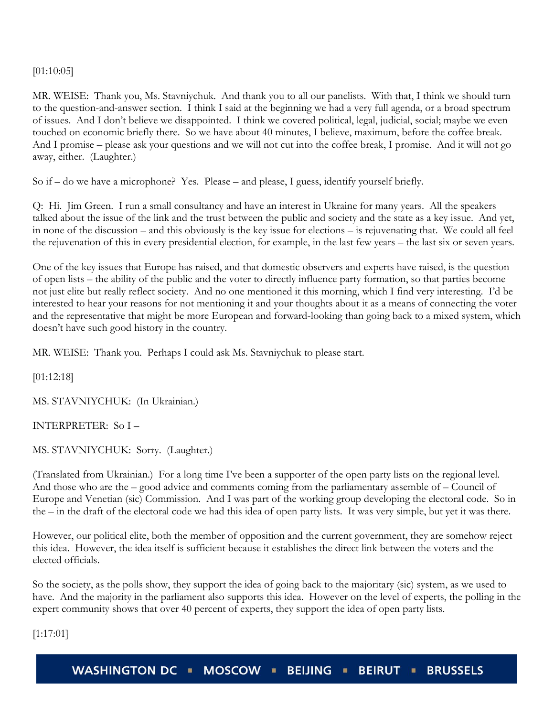[01:10:05]

MR. WEISE: Thank you, Ms. Stavniychuk. And thank you to all our panelists. With that, I think we should turn to the question-and-answer section. I think I said at the beginning we had a very full agenda, or a broad spectrum of issues. And I don't believe we disappointed. I think we covered political, legal, judicial, social; maybe we even touched on economic briefly there. So we have about 40 minutes, I believe, maximum, before the coffee break. And I promise – please ask your questions and we will not cut into the coffee break, I promise. And it will not go away, either. (Laughter.)

So if – do we have a microphone? Yes. Please – and please, I guess, identify yourself briefly.

Q: Hi. Jim Green. I run a small consultancy and have an interest in Ukraine for many years. All the speakers talked about the issue of the link and the trust between the public and society and the state as a key issue. And yet, in none of the discussion – and this obviously is the key issue for elections – is rejuvenating that. We could all feel the rejuvenation of this in every presidential election, for example, in the last few years – the last six or seven years.

One of the key issues that Europe has raised, and that domestic observers and experts have raised, is the question of open lists – the ability of the public and the voter to directly influence party formation, so that parties become not just elite but really reflect society. And no one mentioned it this morning, which I find very interesting. I'd be interested to hear your reasons for not mentioning it and your thoughts about it as a means of connecting the voter and the representative that might be more European and forward-looking than going back to a mixed system, which doesn't have such good history in the country.

MR. WEISE: Thank you. Perhaps I could ask Ms. Stavniychuk to please start.

[01:12:18]

MS. STAVNIYCHUK: (In Ukrainian.)

INTERPRETER: So I –

MS. STAVNIYCHUK: Sorry. (Laughter.)

(Translated from Ukrainian.) For a long time I've been a supporter of the open party lists on the regional level. And those who are the – good advice and comments coming from the parliamentary assemble of – Council of Europe and Venetian (sic) Commission. And I was part of the working group developing the electoral code. So in the – in the draft of the electoral code we had this idea of open party lists. It was very simple, but yet it was there.

However, our political elite, both the member of opposition and the current government, they are somehow reject this idea. However, the idea itself is sufficient because it establishes the direct link between the voters and the elected officials.

So the society, as the polls show, they support the idea of going back to the majoritary (sic) system, as we used to have. And the majority in the parliament also supports this idea. However on the level of experts, the polling in the expert community shows that over 40 percent of experts, they support the idea of open party lists.

[1:17:01]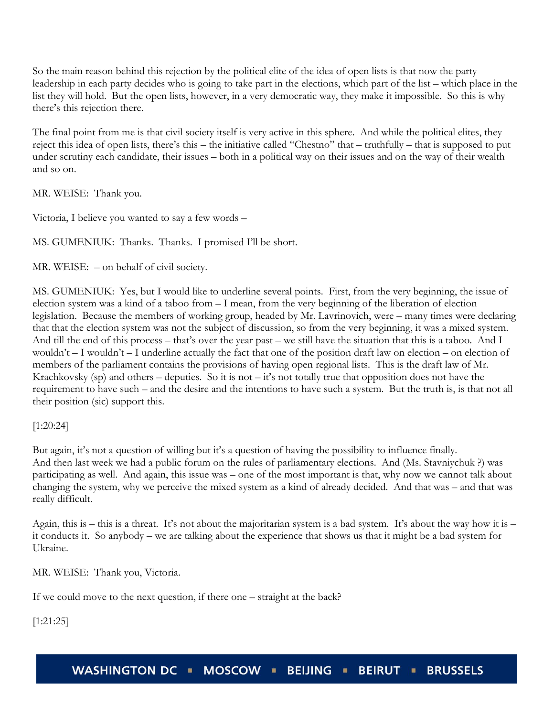So the main reason behind this rejection by the political elite of the idea of open lists is that now the party leadership in each party decides who is going to take part in the elections, which part of the list – which place in the list they will hold. But the open lists, however, in a very democratic way, they make it impossible. So this is why there's this rejection there.

The final point from me is that civil society itself is very active in this sphere. And while the political elites, they reject this idea of open lists, there's this – the initiative called "Chestno" that – truthfully – that is supposed to put under scrutiny each candidate, their issues – both in a political way on their issues and on the way of their wealth and so on.

MR. WEISE: Thank you.

Victoria, I believe you wanted to say a few words –

MS. GUMENIUK: Thanks. Thanks. I promised I'll be short.

MR. WEISE: – on behalf of civil society.

MS. GUMENIUK: Yes, but I would like to underline several points. First, from the very beginning, the issue of election system was a kind of a taboo from – I mean, from the very beginning of the liberation of election legislation. Because the members of working group, headed by Mr. Lavrinovich, were – many times were declaring that that the election system was not the subject of discussion, so from the very beginning, it was a mixed system. And till the end of this process – that's over the year past – we still have the situation that this is a taboo. And I wouldn't – I wouldn't – I underline actually the fact that one of the position draft law on election – on election of members of the parliament contains the provisions of having open regional lists. This is the draft law of Mr. Krachkovsky (sp) and others – deputies. So it is not – it's not totally true that opposition does not have the requirement to have such – and the desire and the intentions to have such a system. But the truth is, is that not all their position (sic) support this.

[1:20:24]

But again, it's not a question of willing but it's a question of having the possibility to influence finally. And then last week we had a public forum on the rules of parliamentary elections. And (Ms. Stavniychuk ?) was participating as well. And again, this issue was – one of the most important is that, why now we cannot talk about changing the system, why we perceive the mixed system as a kind of already decided. And that was – and that was really difficult.

Again, this is – this is a threat. It's not about the majoritarian system is a bad system. It's about the way how it is – it conducts it. So anybody – we are talking about the experience that shows us that it might be a bad system for Ukraine.

MR. WEISE: Thank you, Victoria.

If we could move to the next question, if there one – straight at the back?

[1:21:25]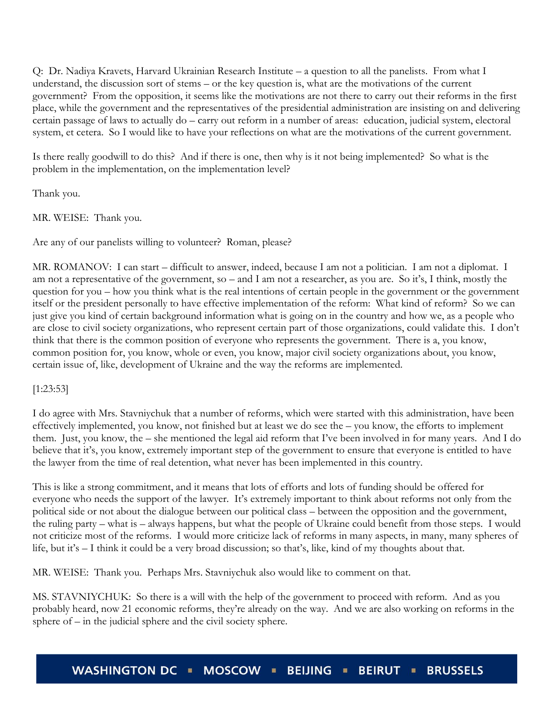Q: Dr. Nadiya Kravets, Harvard Ukrainian Research Institute – a question to all the panelists. From what I understand, the discussion sort of stems – or the key question is, what are the motivations of the current government? From the opposition, it seems like the motivations are not there to carry out their reforms in the first place, while the government and the representatives of the presidential administration are insisting on and delivering certain passage of laws to actually do – carry out reform in a number of areas: education, judicial system, electoral system, et cetera. So I would like to have your reflections on what are the motivations of the current government.

Is there really goodwill to do this? And if there is one, then why is it not being implemented? So what is the problem in the implementation, on the implementation level?

Thank you.

MR. WEISE: Thank you.

Are any of our panelists willing to volunteer? Roman, please?

MR. ROMANOV: I can start – difficult to answer, indeed, because I am not a politician. I am not a diplomat. I am not a representative of the government, so – and I am not a researcher, as you are. So it's, I think, mostly the question for you – how you think what is the real intentions of certain people in the government or the government itself or the president personally to have effective implementation of the reform: What kind of reform? So we can just give you kind of certain background information what is going on in the country and how we, as a people who are close to civil society organizations, who represent certain part of those organizations, could validate this. I don't think that there is the common position of everyone who represents the government. There is a, you know, common position for, you know, whole or even, you know, major civil society organizations about, you know, certain issue of, like, development of Ukraine and the way the reforms are implemented.

## [1:23:53]

I do agree with Mrs. Stavniychuk that a number of reforms, which were started with this administration, have been effectively implemented, you know, not finished but at least we do see the – you know, the efforts to implement them. Just, you know, the – she mentioned the legal aid reform that I've been involved in for many years. And I do believe that it's, you know, extremely important step of the government to ensure that everyone is entitled to have the lawyer from the time of real detention, what never has been implemented in this country.

This is like a strong commitment, and it means that lots of efforts and lots of funding should be offered for everyone who needs the support of the lawyer. It's extremely important to think about reforms not only from the political side or not about the dialogue between our political class – between the opposition and the government, the ruling party – what is – always happens, but what the people of Ukraine could benefit from those steps. I would not criticize most of the reforms. I would more criticize lack of reforms in many aspects, in many, many spheres of life, but it's – I think it could be a very broad discussion; so that's, like, kind of my thoughts about that.

MR. WEISE: Thank you. Perhaps Mrs. Stavniychuk also would like to comment on that.

MS. STAVNIYCHUK: So there is a will with the help of the government to proceed with reform. And as you probably heard, now 21 economic reforms, they're already on the way. And we are also working on reforms in the sphere of – in the judicial sphere and the civil society sphere.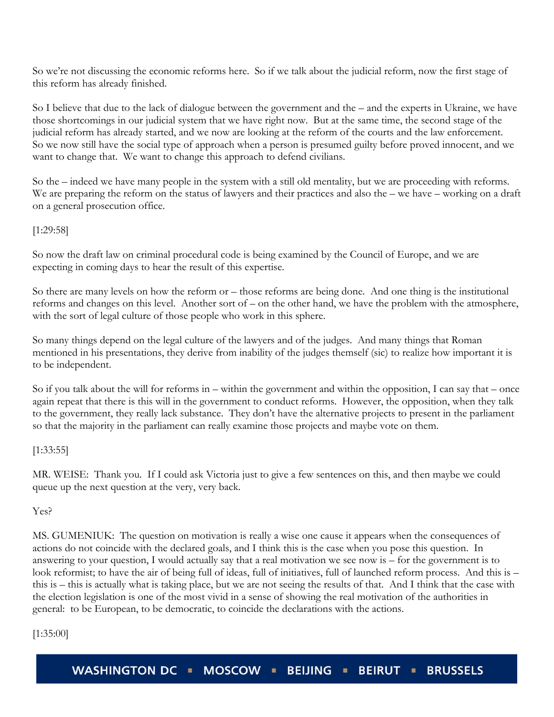So we're not discussing the economic reforms here. So if we talk about the judicial reform, now the first stage of this reform has already finished.

So I believe that due to the lack of dialogue between the government and the – and the experts in Ukraine, we have those shortcomings in our judicial system that we have right now. But at the same time, the second stage of the judicial reform has already started, and we now are looking at the reform of the courts and the law enforcement. So we now still have the social type of approach when a person is presumed guilty before proved innocent, and we want to change that. We want to change this approach to defend civilians.

So the – indeed we have many people in the system with a still old mentality, but we are proceeding with reforms. We are preparing the reform on the status of lawyers and their practices and also the – we have – working on a draft on a general prosecution office.

# [1:29:58]

So now the draft law on criminal procedural code is being examined by the Council of Europe, and we are expecting in coming days to hear the result of this expertise.

So there are many levels on how the reform or – those reforms are being done. And one thing is the institutional reforms and changes on this level. Another sort of – on the other hand, we have the problem with the atmosphere, with the sort of legal culture of those people who work in this sphere.

So many things depend on the legal culture of the lawyers and of the judges. And many things that Roman mentioned in his presentations, they derive from inability of the judges themself (sic) to realize how important it is to be independent.

So if you talk about the will for reforms in – within the government and within the opposition, I can say that – once again repeat that there is this will in the government to conduct reforms. However, the opposition, when they talk to the government, they really lack substance. They don't have the alternative projects to present in the parliament so that the majority in the parliament can really examine those projects and maybe vote on them.

## [1:33:55]

MR. WEISE: Thank you. If I could ask Victoria just to give a few sentences on this, and then maybe we could queue up the next question at the very, very back.

## Yes?

MS. GUMENIUK: The question on motivation is really a wise one cause it appears when the consequences of actions do not coincide with the declared goals, and I think this is the case when you pose this question. In answering to your question, I would actually say that a real motivation we see now is – for the government is to look reformist; to have the air of being full of ideas, full of initiatives, full of launched reform process. And this is – this is – this is actually what is taking place, but we are not seeing the results of that. And I think that the case with the election legislation is one of the most vivid in a sense of showing the real motivation of the authorities in general: to be European, to be democratic, to coincide the declarations with the actions.

[1:35:00]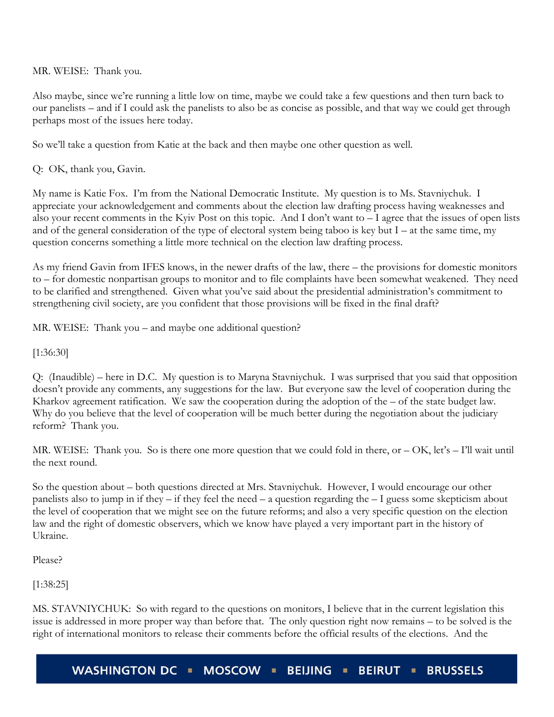MR. WEISE: Thank you.

Also maybe, since we're running a little low on time, maybe we could take a few questions and then turn back to our panelists – and if I could ask the panelists to also be as concise as possible, and that way we could get through perhaps most of the issues here today.

So we'll take a question from Katie at the back and then maybe one other question as well.

Q: OK, thank you, Gavin.

My name is Katie Fox. I'm from the National Democratic Institute. My question is to Ms. Stavniychuk. I appreciate your acknowledgement and comments about the election law drafting process having weaknesses and also your recent comments in the Kyiv Post on this topic. And I don't want to – I agree that the issues of open lists and of the general consideration of the type of electoral system being taboo is key but I – at the same time, my question concerns something a little more technical on the election law drafting process.

As my friend Gavin from IFES knows, in the newer drafts of the law, there – the provisions for domestic monitors to – for domestic nonpartisan groups to monitor and to file complaints have been somewhat weakened. They need to be clarified and strengthened. Given what you've said about the presidential administration's commitment to strengthening civil society, are you confident that those provisions will be fixed in the final draft?

MR. WEISE: Thank you – and maybe one additional question?

[1:36:30]

Q: (Inaudible) – here in D.C. My question is to Maryna Stavniychuk. I was surprised that you said that opposition doesn't provide any comments, any suggestions for the law. But everyone saw the level of cooperation during the Kharkov agreement ratification. We saw the cooperation during the adoption of the – of the state budget law. Why do you believe that the level of cooperation will be much better during the negotiation about the judiciary reform? Thank you.

MR. WEISE: Thank you. So is there one more question that we could fold in there, or – OK, let's – I'll wait until the next round.

So the question about – both questions directed at Mrs. Stavniychuk. However, I would encourage our other panelists also to jump in if they – if they feel the need – a question regarding the  $-1$  guess some skepticism about the level of cooperation that we might see on the future reforms; and also a very specific question on the election law and the right of domestic observers, which we know have played a very important part in the history of Ukraine.

Please?

[1:38:25]

MS. STAVNIYCHUK: So with regard to the questions on monitors, I believe that in the current legislation this issue is addressed in more proper way than before that. The only question right now remains – to be solved is the right of international monitors to release their comments before the official results of the elections. And the

**WASHINGTON DC** MOSCOW **E BEIJING BEIRUT = BRUSSELS**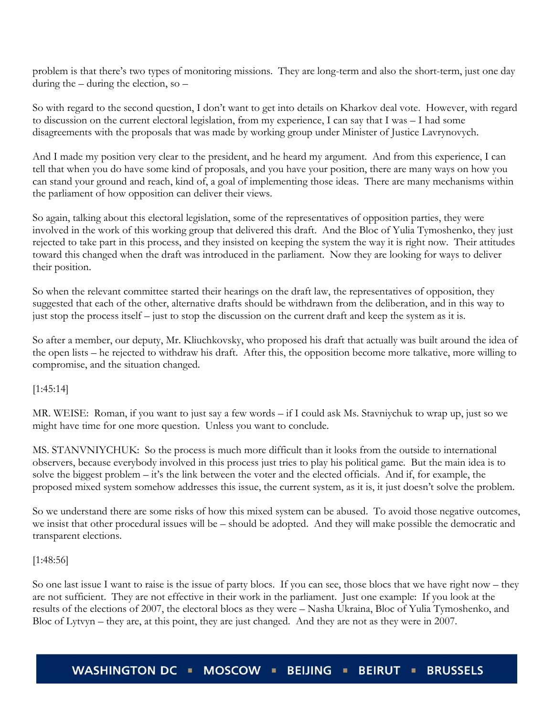problem is that there's two types of monitoring missions. They are long-term and also the short-term, just one day during the – during the election, so –

So with regard to the second question, I don't want to get into details on Kharkov deal vote. However, with regard to discussion on the current electoral legislation, from my experience, I can say that I was – I had some disagreements with the proposals that was made by working group under Minister of Justice Lavrynovych.

And I made my position very clear to the president, and he heard my argument. And from this experience, I can tell that when you do have some kind of proposals, and you have your position, there are many ways on how you can stand your ground and reach, kind of, a goal of implementing those ideas. There are many mechanisms within the parliament of how opposition can deliver their views.

So again, talking about this electoral legislation, some of the representatives of opposition parties, they were involved in the work of this working group that delivered this draft. And the Bloc of Yulia Tymoshenko, they just rejected to take part in this process, and they insisted on keeping the system the way it is right now. Their attitudes toward this changed when the draft was introduced in the parliament. Now they are looking for ways to deliver their position.

So when the relevant committee started their hearings on the draft law, the representatives of opposition, they suggested that each of the other, alternative drafts should be withdrawn from the deliberation, and in this way to just stop the process itself – just to stop the discussion on the current draft and keep the system as it is.

So after a member, our deputy, Mr. Kliuchkovsky, who proposed his draft that actually was built around the idea of the open lists – he rejected to withdraw his draft. After this, the opposition become more talkative, more willing to compromise, and the situation changed.

[1:45:14]

MR. WEISE: Roman, if you want to just say a few words – if I could ask Ms. Stavniychuk to wrap up, just so we might have time for one more question. Unless you want to conclude.

MS. STANVNIYCHUK: So the process is much more difficult than it looks from the outside to international observers, because everybody involved in this process just tries to play his political game. But the main idea is to solve the biggest problem – it's the link between the voter and the elected officials. And if, for example, the proposed mixed system somehow addresses this issue, the current system, as it is, it just doesn't solve the problem.

So we understand there are some risks of how this mixed system can be abused. To avoid those negative outcomes, we insist that other procedural issues will be – should be adopted. And they will make possible the democratic and transparent elections.

## [1:48:56]

So one last issue I want to raise is the issue of party blocs. If you can see, those blocs that we have right now – they are not sufficient. They are not effective in their work in the parliament. Just one example: If you look at the results of the elections of 2007, the electoral blocs as they were – Nasha Ukraina, Bloc of Yulia Tymoshenko, and Bloc of Lytvyn – they are, at this point, they are just changed. And they are not as they were in 2007.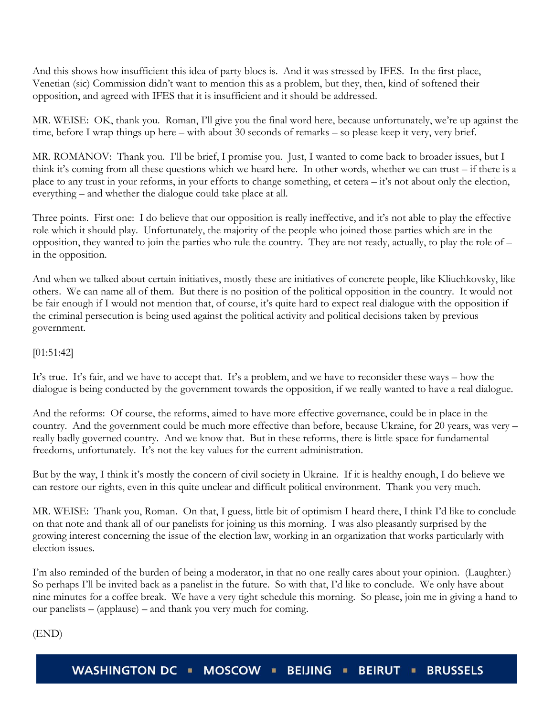And this shows how insufficient this idea of party blocs is. And it was stressed by IFES. In the first place, Venetian (sic) Commission didn't want to mention this as a problem, but they, then, kind of softened their opposition, and agreed with IFES that it is insufficient and it should be addressed.

MR. WEISE: OK, thank you. Roman, I'll give you the final word here, because unfortunately, we're up against the time, before I wrap things up here – with about 30 seconds of remarks – so please keep it very, very brief.

MR. ROMANOV: Thank you. I'll be brief, I promise you. Just, I wanted to come back to broader issues, but I think it's coming from all these questions which we heard here. In other words, whether we can trust – if there is a place to any trust in your reforms, in your efforts to change something, et cetera – it's not about only the election, everything – and whether the dialogue could take place at all.

Three points. First one: I do believe that our opposition is really ineffective, and it's not able to play the effective role which it should play. Unfortunately, the majority of the people who joined those parties which are in the opposition, they wanted to join the parties who rule the country. They are not ready, actually, to play the role of – in the opposition.

And when we talked about certain initiatives, mostly these are initiatives of concrete people, like Kliuchkovsky, like others. We can name all of them. But there is no position of the political opposition in the country. It would not be fair enough if I would not mention that, of course, it's quite hard to expect real dialogue with the opposition if the criminal persecution is being used against the political activity and political decisions taken by previous government.

# [01:51:42]

It's true. It's fair, and we have to accept that. It's a problem, and we have to reconsider these ways – how the dialogue is being conducted by the government towards the opposition, if we really wanted to have a real dialogue.

And the reforms: Of course, the reforms, aimed to have more effective governance, could be in place in the country. And the government could be much more effective than before, because Ukraine, for 20 years, was very – really badly governed country. And we know that. But in these reforms, there is little space for fundamental freedoms, unfortunately. It's not the key values for the current administration.

But by the way, I think it's mostly the concern of civil society in Ukraine. If it is healthy enough, I do believe we can restore our rights, even in this quite unclear and difficult political environment. Thank you very much.

MR. WEISE: Thank you, Roman. On that, I guess, little bit of optimism I heard there, I think I'd like to conclude on that note and thank all of our panelists for joining us this morning. I was also pleasantly surprised by the growing interest concerning the issue of the election law, working in an organization that works particularly with election issues.

I'm also reminded of the burden of being a moderator, in that no one really cares about your opinion. (Laughter.) So perhaps I'll be invited back as a panelist in the future. So with that, I'd like to conclude. We only have about nine minutes for a coffee break. We have a very tight schedule this morning. So please, join me in giving a hand to our panelists – (applause) – and thank you very much for coming.

(END)